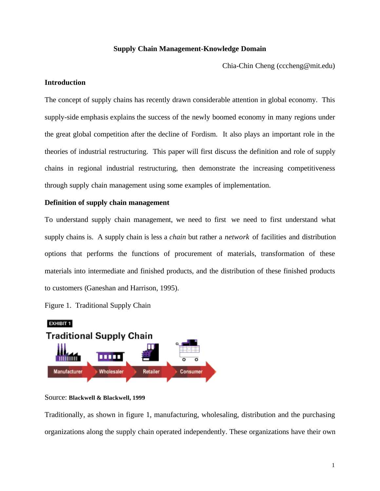# **Supply Chain Management-Knowledge Domain**

Chia-Chin Cheng (cccheng@mit.edu)

# **Introduction**

The concept of supply chains has recently drawn considerable attention in global economy. This supply-side emphasis explains the success of the newly boomed economy in many regions under the great global competition after the decline of Fordism. It also plays an important role in the theories of industrial restructuring. This paper will first discuss the definition and role of supply chains in regional industrial restructuring, then demonstrate the increasing competitiveness through supply chain management using some examples of implementation.

# **Definition of supply chain management**

To understand supply chain management, we need to first we need to first understand what supply chains is. A supply chain is less a *chain* but rather a *network* of facilities and distribution options that performs the functions of procurement of materials, transformation of these materials into intermediate and finished products, and the distribution of these finished products to customers (Ganeshan and Harrison, 1995).

Figure 1. Traditional Supply Chain



### Source: **Blackwell & Blackwell, 1999**

Traditionally, as shown in figure 1, manufacturing, wholesaling, distribution and the purchasing organizations along the supply chain operated independently. These organizations have their own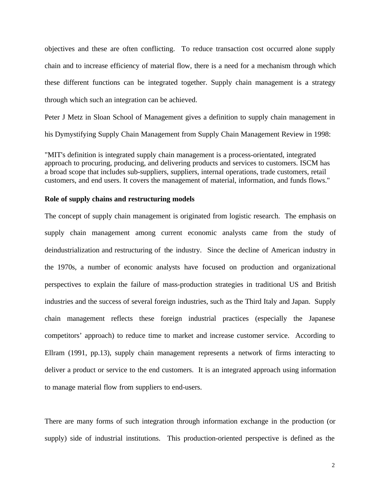objectives and these are often conflicting. To reduce transaction cost occurred alone supply chain and to increase efficiency of material flow, there is a need for a mechanism through which these different functions can be integrated together. Supply chain management is a strategy through which such an integration can be achieved.

Peter J Metz in Sloan School of Management gives a definition to supply chain management in his Dymystifying Supply Chain Management from Supply Chain Management Review in 1998:

"MIT's definition is integrated supply chain management is a process-orientated, integrated approach to procuring, producing, and delivering products and services to customers. ISCM has a broad scope that includes sub-suppliers, suppliers, internal operations, trade customers, retail customers, and end users. It covers the management of material, information, and funds flows."

# **Role of supply chains and restructuring models**

The concept of supply chain management is originated from logistic research. The emphasis on supply chain management among current economic analysts came from the study of deindustrialization and restructuring of the industry. Since the decline of American industry in the 1970s, a number of economic analysts have focused on production and organizational perspectives to explain the failure of mass-production strategies in traditional US and British industries and the success of several foreign industries, such as the Third Italy and Japan. Supply chain management reflects these foreign industrial practices (especially the Japanese competitors' approach) to reduce time to market and increase customer service. According to Ellram (1991, pp.13), supply chain management represents a network of firms interacting to deliver a product or service to the end customers. It is an integrated approach using information to manage material flow from suppliers to end-users.

There are many forms of such integration through information exchange in the production (or supply) side of industrial institutions. This production-oriented perspective is defined as the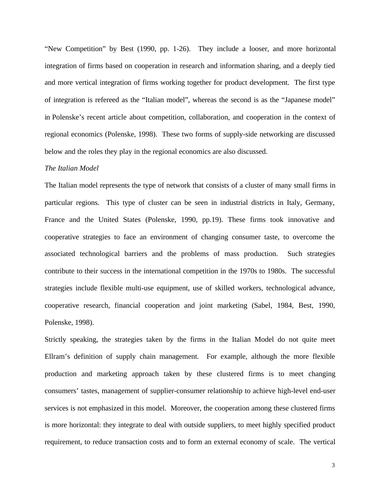"New Competition" by Best (1990, pp. 1-26). They include a looser, and more horizontal integration of firms based on cooperation in research and information sharing, and a deeply tied and more vertical integration of firms working together for product development. The first type of integration is refereed as the "Italian model", whereas the second is as the "Japanese model" in Polenske's recent article about competition, collaboration, and cooperation in the context of regional economics (Polenske, 1998). These two forms of supply-side networking are discussed below and the roles they play in the regional economics are also discussed.

#### *The Italian Model*

The Italian model represents the type of network that consists of a cluster of many small firms in particular regions. This type of cluster can be seen in industrial districts in Italy, Germany, France and the United States (Polenske, 1990, pp.19). These firms took innovative and cooperative strategies to face an environment of changing consumer taste, to overcome the associated technological barriers and the problems of mass production. Such strategies contribute to their success in the international competition in the 1970s to 1980s. The successful strategies include flexible multi-use equipment, use of skilled workers, technological advance, cooperative research, financial cooperation and joint marketing (Sabel, 1984, Best, 1990, Polenske, 1998).

Strictly speaking, the strategies taken by the firms in the Italian Model do not quite meet Ellram's definition of supply chain management. For example, although the more flexible production and marketing approach taken by these clustered firms is to meet changing consumers' tastes, management of supplier-consumer relationship to achieve high-level end-user services is not emphasized in this model. Moreover, the cooperation among these clustered firms is more horizontal: they integrate to deal with outside suppliers, to meet highly specified product requirement, to reduce transaction costs and to form an external economy of scale. The vertical

3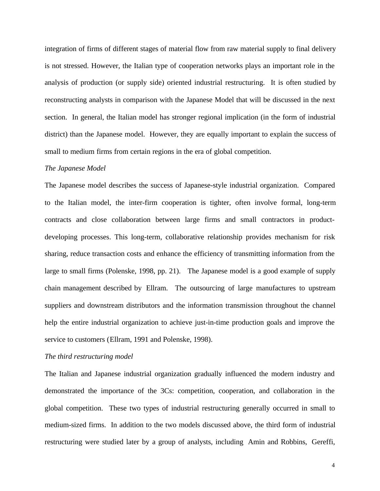integration of firms of different stages of material flow from raw material supply to final delivery is not stressed. However, the Italian type of cooperation networks plays an important role in the analysis of production (or supply side) oriented industrial restructuring. It is often studied by reconstructing analysts in comparison with the Japanese Model that will be discussed in the next section. In general, the Italian model has stronger regional implication (in the form of industrial district) than the Japanese model. However, they are equally important to explain the success of small to medium firms from certain regions in the era of global competition.

#### *The Japanese Model*

The Japanese model describes the success of Japanese-style industrial organization. Compared to the Italian model, the inter-firm cooperation is tighter, often involve formal, long-term contracts and close collaboration between large firms and small contractors in productdeveloping processes. This long-term, collaborative relationship provides mechanism for risk sharing, reduce transaction costs and enhance the efficiency of transmitting information from the large to small firms (Polenske, 1998, pp. 21). The Japanese model is a good example of supply chain management described by Ellram. The outsourcing of large manufactures to upstream suppliers and downstream distributors and the information transmission throughout the channel help the entire industrial organization to achieve just-in-time production goals and improve the service to customers (Ellram, 1991 and Polenske, 1998).

#### *The third restructuring model*

The Italian and Japanese industrial organization gradually influenced the modern industry and demonstrated the importance of the 3Cs: competition, cooperation, and collaboration in the global competition. These two types of industrial restructuring generally occurred in small to medium-sized firms. In addition to the two models discussed above, the third form of industrial restructuring were studied later by a group of analysts, including Amin and Robbins, Gereffi,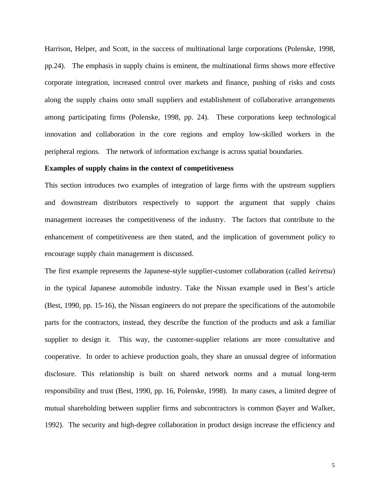Harrison, Helper, and Scott, in the success of multinational large corporations (Polenske, 1998, pp.24). The emphasis in supply chains is eminent, the multinational firms shows more effective corporate integration, increased control over markets and finance, pushing of risks and costs along the supply chains onto small suppliers and establishment of collaborative arrangements among participating firms (Polenske, 1998, pp. 24). These corporations keep technological innovation and collaboration in the core regions and employ low-skilled workers in the peripheral regions. The network of information exchange is across spatial boundaries.

### **Examples of supply chains in the context of competitiveness**

This section introduces two examples of integration of large firms with the upstream suppliers and downstream distributors respectively to support the argument that supply chains management increases the competitiveness of the industry. The factors that contribute to the enhancement of competitiveness are then stated, and the implication of government policy to encourage supply chain management is discussed.

The first example represents the Japanese-style supplier-customer collaboration (called *keiretsu*) in the typical Japanese automobile industry. Take the Nissan example used in Best's article (Best, 1990, pp. 15-16), the Nissan engineers do not prepare the specifications of the automobile parts for the contractors, instead, they describe the function of the products and ask a familiar supplier to design it. This way, the customer-supplier relations are more consultative and cooperative. In order to achieve production goals, they share an unusual degree of information disclosure. This relationship is built on shared network norms and a mutual long-term responsibility and trust (Best, 1990, pp. 16, Polenske, 1998). In many cases, a limited degree of mutual shareholding between supplier firms and subcontractors is common (Sayer and Walker, 1992). The security and high-degree collaboration in product design increase the efficiency and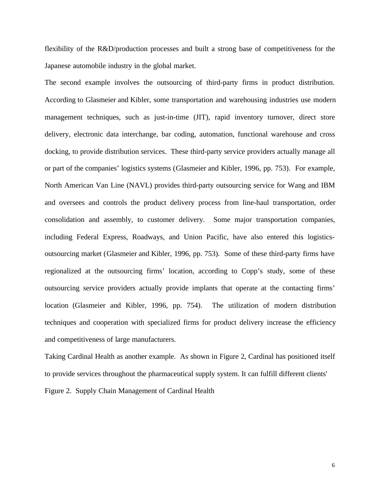flexibility of the R&D/production processes and built a strong base of competitiveness for the Japanese automobile industry in the global market.

The second example involves the outsourcing of third-party firms in product distribution. According to Glasmeier and Kibler, some transportation and warehousing industries use modern management techniques, such as just-in-time (JIT), rapid inventory turnover, direct store delivery, electronic data interchange, bar coding, automation, functional warehouse and cross docking, to provide distribution services. These third-party service providers actually manage all or part of the companies' logistics systems (Glasmeier and Kibler, 1996, pp. 753). For example, North American Van Line (NAVL) provides third-party outsourcing service for Wang and IBM and oversees and controls the product delivery process from line-haul transportation, order consolidation and assembly, to customer delivery. Some major transportation companies, including Federal Express, Roadways, and Union Pacific, have also entered this logisticsoutsourcing market (Glasmeier and Kibler, 1996, pp. 753). Some of these third-party firms have regionalized at the outsourcing firms' location, according to Copp's study, some of these outsourcing service providers actually provide implants that operate at the contacting firms' location (Glasmeier and Kibler, 1996, pp. 754). The utilization of modern distribution techniques and cooperation with specialized firms for product delivery increase the efficiency and competitiveness of large manufacturers.

Taking Cardinal Health as another example. As shown in Figure 2, Cardinal has positioned itself to provide services throughout the pharmaceutical supply system. It can fulfill different clients' Figure 2. Supply Chain Management of Cardinal Health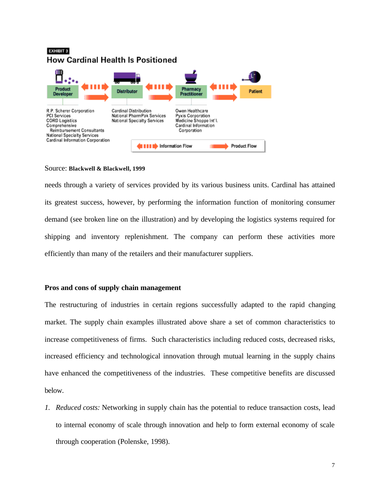# **EXHIBIT 3 How Cardinal Health Is Positioned**



### Source: **Blackwell & Blackwell, 1999**

needs through a variety of services provided by its various business units. Cardinal has attained its greatest success, however, by performing the information function of monitoring consumer demand (see broken line on the illustration) and by developing the logistics systems required for shipping and inventory replenishment. The company can perform these activities more efficiently than many of the retailers and their manufacturer suppliers.

# **Pros and cons of supply chain management**

The restructuring of industries in certain regions successfully adapted to the rapid changing market. The supply chain examples illustrated above share a set of common characteristics to increase competitiveness of firms. Such characteristics including reduced costs, decreased risks, increased efficiency and technological innovation through mutual learning in the supply chains have enhanced the competitiveness of the industries. These competitive benefits are discussed below.

*1. Reduced costs:* Networking in supply chain has the potential to reduce transaction costs, lead to internal economy of scale through innovation and help to form external economy of scale through cooperation (Polenske, 1998).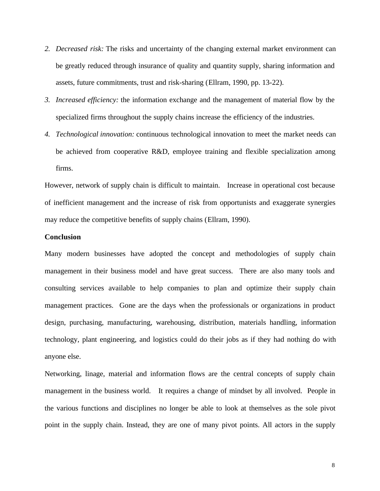- *2. Decreased risk:* The risks and uncertainty of the changing external market environment can be greatly reduced through insurance of quality and quantity supply, sharing information and assets, future commitments, trust and risk-sharing (Ellram, 1990, pp. 13-22).
- *3. Increased efficiency:* the information exchange and the management of material flow by the specialized firms throughout the supply chains increase the efficiency of the industries.
- *4. Technological innovation:* continuous technological innovation to meet the market needs can be achieved from cooperative R&D, employee training and flexible specialization among firms.

However, network of supply chain is difficult to maintain. Increase in operational cost because of inefficient management and the increase of risk from opportunists and exaggerate synergies may reduce the competitive benefits of supply chains (Ellram, 1990).

### **Conclusion**

Many modern businesses have adopted the concept and methodologies of supply chain management in their business model and have great success. There are also many tools and consulting services available to help companies to plan and optimize their supply chain management practices. Gone are the days when the professionals or organizations in product design, purchasing, manufacturing, warehousing, distribution, materials handling, information technology, plant engineering, and logistics could do their jobs as if they had nothing do with anyone else.

Networking, linage, material and information flows are the central concepts of supply chain management in the business world. It requires a change of mindset by all involved. People in the various functions and disciplines no longer be able to look at themselves as the sole pivot point in the supply chain. Instead, they are one of many pivot points. All actors in the supply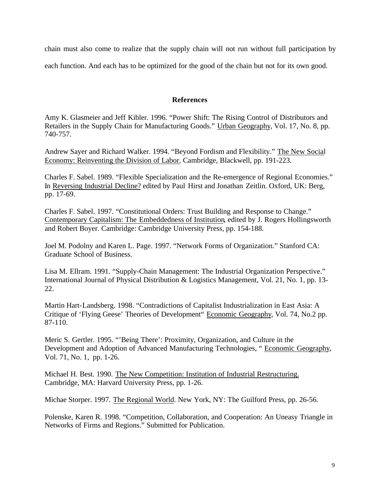chain must also come to realize that the supply chain will not run without full participation by each function. And each has to be optimized for the good of the chain but not for its own good.

# **References**

Amy K. Glasmeier and Jeff Kibler. 1996. "Power Shift: The Rising Control of Distributors and Retailers in the Supply Chain for Manufacturing Goods." Urban Geography, Vol. 17, No. 8, pp. 740-757.

Andrew Sayer and Richard Walker. 1994. "Beyond Fordism and Flexibility." The New Social Economy: Reinventing the Division of Labor. Cambridge, Blackwell, pp. 191-223.

Charles F. Sabel. 1989. "Flexible Specialization and the Re-emergence of Regional Economies." In Reversing Industrial Decline? edited by Paul Hirst and Jonathan Zeitlin. Oxford, UK: Berg, pp. 17-69.

Charles F. Sabel. 1997. "Constitutional Orders: Trust Building and Response to Change." Contemporary Capitalism: The Embeddedness of Institution, edited by J. Rogers Hollingsworth and Robert Boyer. Cambridge: Cambridge University Press, pp. 154-188.

Joel M. Podolny and Karen L. Page. 1997. "Network Forms of Organization." Stanford CA: Graduate School of Business.

Lisa M. Ellram. 1991. "Supply-Chain Management: The Industrial Organization Perspective." International Journal of Physical Distribution & Logistics Management, Vol. 21, No. 1, pp. 13- 22.

Martin Hart-Landsberg. 1998. "Contradictions of Capitalist Industrialization in East Asia: A Critique of 'Flying Geese' Theories of Development" Economic Geography, Vol. 74, No.2 pp. 87-110.

Meric S. Gertler. 1995. "'Being There': Proximity, Organization, and Culture in the Development and Adoption of Advanced Manufacturing Technologies, " Economic Geography, Vol. 71, No. 1, pp. 1-26.

Michael H. Best. 1990. The New Competition: Institution of Industrial Restructuring. Cambridge, MA: Harvard University Press, pp. 1-26.

Michae Storper. 1997. The Regional World. New York, NY: The Guilford Press, pp. 26-56.

Polenske, Karen R. 1998. "Competition, Collaboration, and Cooperation: An Uneasy Triangle in Networks of Firms and Regions." Submitted for Publication.